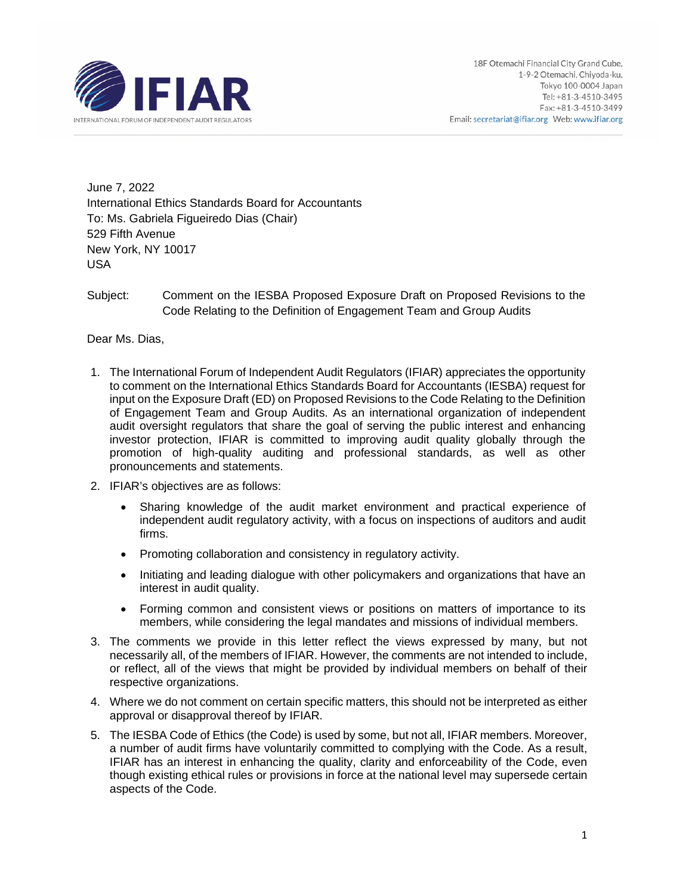

June 7, 2022 International Ethics Standards Board for Accountants To: Ms. Gabriela Figueiredo Dias (Chair) 529 Fifth Avenue New York, NY 10017 USA

Subject: Comment on the IESBA Proposed Exposure Draft on Proposed Revisions to the Code Relating to the Definition of Engagement Team and Group Audits

Dear Ms. Dias,

- 1. The International Forum of Independent Audit Regulators (IFIAR) appreciates the opportunity to comment on the International Ethics Standards Board for Accountants (IESBA) request for input on the Exposure Draft (ED) on Proposed Revisions to the Code Relating to the Definition of Engagement Team and Group Audits. As an international organization of independent audit oversight regulators that share the goal of serving the public interest and enhancing investor protection, IFIAR is committed to improving audit quality globally through the promotion of high-quality auditing and professional standards, as well as other pronouncements and statements.
- 2. IFIAR's objectives are as follows:
	- Sharing knowledge of the audit market environment and practical experience of independent audit regulatory activity, with a focus on inspections of auditors and audit firms.
	- Promoting collaboration and consistency in regulatory activity.
	- Initiating and leading dialogue with other policymakers and organizations that have an interest in audit quality.
	- Forming common and consistent views or positions on matters of importance to its members, while considering the legal mandates and missions of individual members.
- 3. The comments we provide in this letter reflect the views expressed by many, but not necessarily all, of the members of IFIAR. However, the comments are not intended to include, or reflect, all of the views that might be provided by individual members on behalf of their respective organizations.
- 4. Where we do not comment on certain specific matters, this should not be interpreted as either approval or disapproval thereof by IFIAR.
- 5. The IESBA Code of Ethics (the Code) is used by some, but not all, IFIAR members. Moreover, a number of audit firms have voluntarily committed to complying with the Code. As a result, IFIAR has an interest in enhancing the quality, clarity and enforceability of the Code, even though existing ethical rules or provisions in force at the national level may supersede certain aspects of the Code.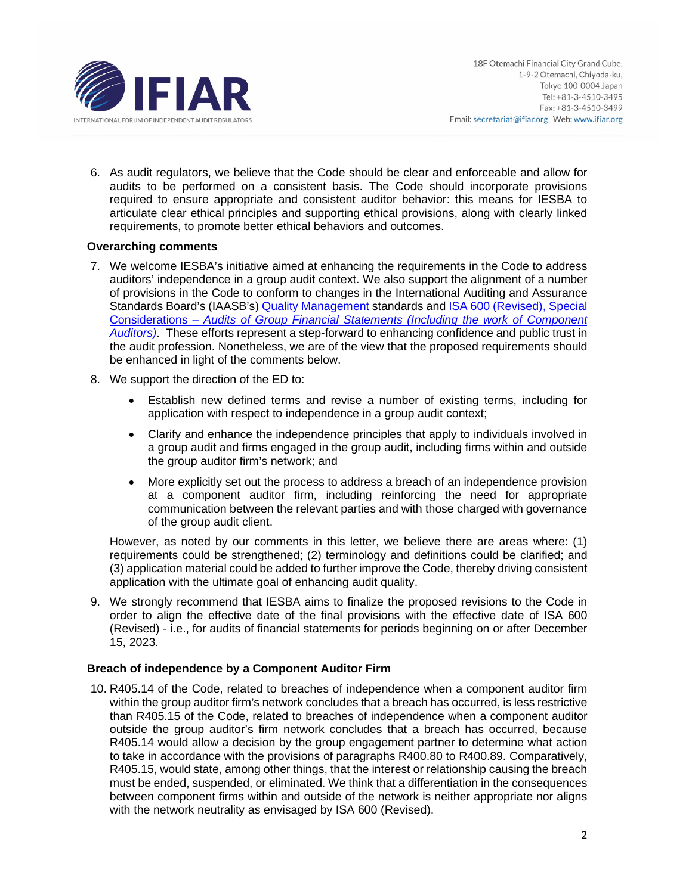

6. As audit regulators, we believe that the Code should be clear and enforceable and allow for audits to be performed on a consistent basis. The Code should incorporate provisions required to ensure appropriate and consistent auditor behavior: this means for IESBA to articulate clear ethical principles and supporting ethical provisions, along with clearly linked requirements, to promote better ethical behaviors and outcomes.

# **Overarching comments**

- 7. We welcome IESBA's initiative aimed at enhancing the requirements in the Code to address auditors' independence in a group audit context. We also support the alignment of a number of provisions in the Code to conform to changes in the International Auditing and Assurance Standards Board's (IAASB's) [Quality Management](https://www.iaasb.org/focus-areas/quality-management?utm_source=Main+List+New&utm_campaign=fa2075ab0d-EMAIL_CAMPAIGN_2022_02_28_03_26&utm_medium=email&utm_term=0_c325307f2b-fa2075ab0d-80667788) standards and [ISA 600 \(Revised\), Special](https://www.iaasb.org/publications/international-standard-auditing-600-revised-special-considerations-audits-group-financial-statements)  Considerations – *[Audits of Group Financial Statements \(Including the work of Component](https://www.iaasb.org/publications/international-standard-auditing-600-revised-special-considerations-audits-group-financial-statements)  [Auditors\)](https://www.iaasb.org/publications/international-standard-auditing-600-revised-special-considerations-audits-group-financial-statements)*. These efforts represent a step-forward to enhancing confidence and public trust in the audit profession. Nonetheless, we are of the view that the proposed requirements should be enhanced in light of the comments below.
- 8. We support the direction of the ED to:
	- Establish new defined terms and revise a number of existing terms, including for application with respect to independence in a group audit context;
	- Clarify and enhance the independence principles that apply to individuals involved in a group audit and firms engaged in the group audit, including firms within and outside the group auditor firm's network; and
	- More explicitly set out the process to address a breach of an independence provision at a component auditor firm, including reinforcing the need for appropriate communication between the relevant parties and with those charged with governance of the group audit client.

However, as noted by our comments in this letter, we believe there are areas where: (1) requirements could be strengthened; (2) terminology and definitions could be clarified; and (3) application material could be added to further improve the Code, thereby driving consistent application with the ultimate goal of enhancing audit quality.

9. We strongly recommend that IESBA aims to finalize the proposed revisions to the Code in order to align the effective date of the final provisions with the effective date of ISA 600 (Revised) - i.e., for audits of financial statements for periods beginning on or after December 15, 2023.

# **Breach of independence by a Component Auditor Firm**

10. R405.14 of the Code, related to breaches of independence when a component auditor firm within the group auditor firm's network concludes that a breach has occurred, is less restrictive than R405.15 of the Code, related to breaches of independence when a component auditor outside the group auditor's firm network concludes that a breach has occurred, because R405.14 would allow a decision by the group engagement partner to determine what action to take in accordance with the provisions of paragraphs R400.80 to R400.89. Comparatively, R405.15, would state, among other things, that the interest or relationship causing the breach must be ended, suspended, or eliminated. We think that a differentiation in the consequences between component firms within and outside of the network is neither appropriate nor aligns with the network neutrality as envisaged by ISA 600 (Revised).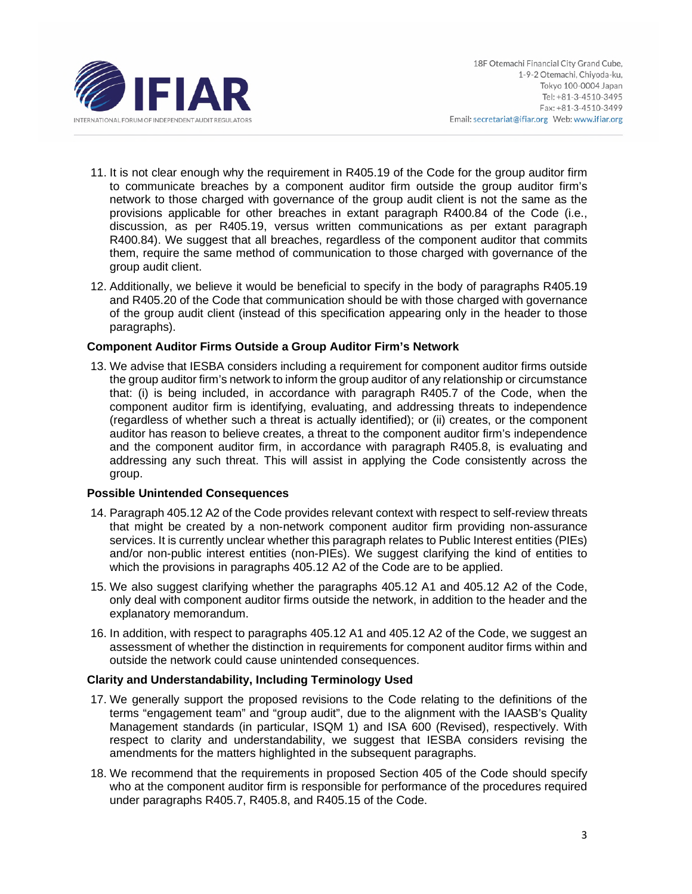

- 11. It is not clear enough why the requirement in R405.19 of the Code for the group auditor firm to communicate breaches by a component auditor firm outside the group auditor firm's network to those charged with governance of the group audit client is not the same as the provisions applicable for other breaches in extant paragraph R400.84 of the Code (i.e., discussion, as per R405.19, versus written communications as per extant paragraph R400.84). We suggest that all breaches, regardless of the component auditor that commits them, require the same method of communication to those charged with governance of the group audit client.
- 12. Additionally, we believe it would be beneficial to specify in the body of paragraphs R405.19 and R405.20 of the Code that communication should be with those charged with governance of the group audit client (instead of this specification appearing only in the header to those paragraphs).

## **Component Auditor Firms Outside a Group Auditor Firm's Network**

13. We advise that IESBA considers including a requirement for component auditor firms outside the group auditor firm's network to inform the group auditor of any relationship or circumstance that: (i) is being included, in accordance with paragraph R405.7 of the Code, when the component auditor firm is identifying, evaluating, and addressing threats to independence (regardless of whether such a threat is actually identified); or (ii) creates, or the component auditor has reason to believe creates, a threat to the component auditor firm's independence and the component auditor firm, in accordance with paragraph R405.8, is evaluating and addressing any such threat. This will assist in applying the Code consistently across the group.

# **Possible Unintended Consequences**

- 14. Paragraph 405.12 A2 of the Code provides relevant context with respect to self-review threats that might be created by a non-network component auditor firm providing non-assurance services. It is currently unclear whether this paragraph relates to Public Interest entities (PIEs) and/or non-public interest entities (non-PIEs). We suggest clarifying the kind of entities to which the provisions in paragraphs 405.12 A2 of the Code are to be applied.
- 15. We also suggest clarifying whether the paragraphs 405.12 A1 and 405.12 A2 of the Code, only deal with component auditor firms outside the network, in addition to the header and the explanatory memorandum.
- 16. In addition, with respect to paragraphs 405.12 A1 and 405.12 A2 of the Code, we suggest an assessment of whether the distinction in requirements for component auditor firms within and outside the network could cause unintended consequences.

# **Clarity and Understandability, Including Terminology Used**

- 17. We generally support the proposed revisions to the Code relating to the definitions of the terms "engagement team" and "group audit", due to the alignment with the IAASB's Quality Management standards (in particular, ISQM 1) and ISA 600 (Revised), respectively. With respect to clarity and understandability, we suggest that IESBA considers revising the amendments for the matters highlighted in the subsequent paragraphs.
- 18. We recommend that the requirements in proposed Section 405 of the Code should specify who at the component auditor firm is responsible for performance of the procedures required under paragraphs R405.7, R405.8, and R405.15 of the Code.